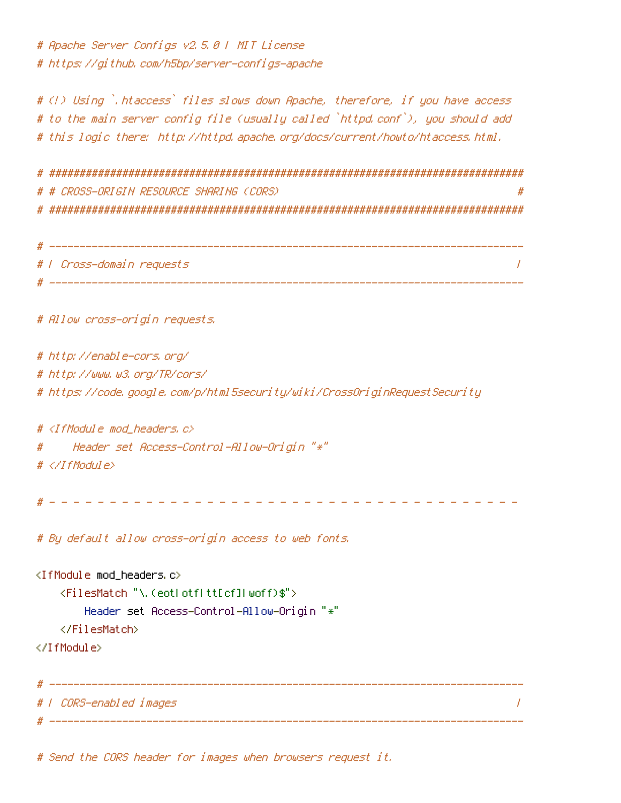# Apache Server Configs v2.5.0 | MIT License # https://github.com/h5bp/server-configs-apache

# (!) Using `.htaccess` files slows down Apache, therefore, if you have access # to the main server config file (usually called `httpd.conf`), you should add # this logic there: http://httpd.apache.org/docs/current/howto/htaccess.html.

# ############################################################################## # # CROSS-ORIGIN RESOURCE SHARING (CORS) # # ##############################################################################

| ₩ |                           |
|---|---------------------------|
|   | #   Cross-domain requests |
|   |                           |

# Allow cross-origin requests.

# http://enable-cors.org/ # http://www.w3.org/TR/cors/ # https://code.google.com/p/html5security/wiki/CrossOriginRequestSecurity

#  $\triangle$ IfModule mod headers.c $\triangleright$ # Header set Access-Control-Allow-Origin "\*"

 $# \triangle$ /IfModule>

# - - - - - - - - - - - - - - - - - - - - - - - - - - - - - - - - - - - - - - -

# By default allow cross-origin access to web fonts.

```
<IfModule mod_headers.c>
   <FilesMatch "\.(eot|otf|tt[cf]|woff)$">
       Header set Access-Control-Allow-Origin "*"
   </FilesMatch>
</IfModule>
 # ------------------------------------------------------------------------------
# | CORS-enabled images |
```
# ------------------------------------------------------------------------------

# Send the CORS header for images when browsers request it.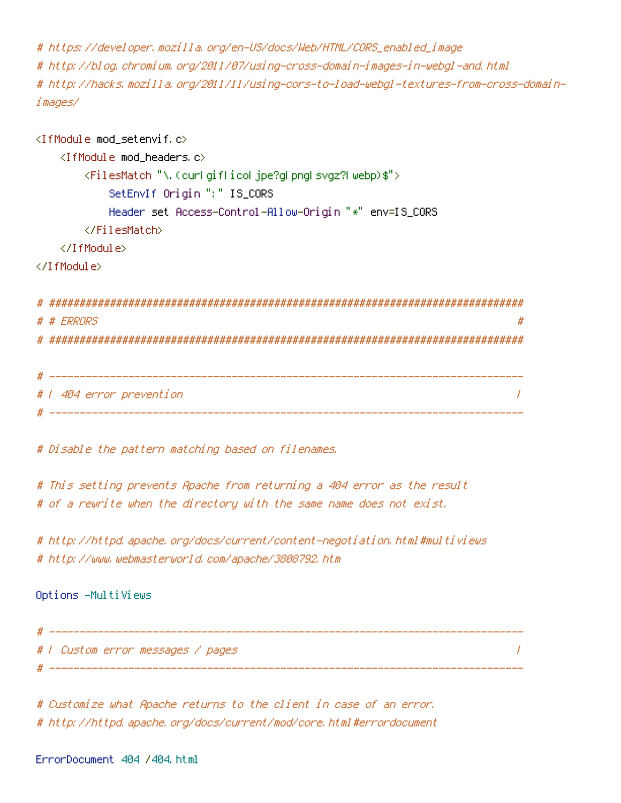# https://developer.mozilla.org/en-US/docs/Web/HTML/CORS\_enabled\_image # http://blog.chromium.org/2011/07/using-cross-domain-images-in-webgl-and.html # http://hacks.mozilla.org/2011/11/using-cors-to-load-webgl-textures-from-cross-domainimages/

 $\langle$ IfModule mod setenvif.c $\rangle$ <IfModule mod\_headers.c> <FilesMatch "\.(cur|gif|ico|jpe?g|png|svgz?|webp)\$"> SetEnvIf Origin ":" IS\_CORS Header set Access-Control-Allow-Origin "\*" env=IS\_CORS </FilesMatch> </IfModule> </IfModule>

```
# ##############################################################################
# # ERRORS #
# ##############################################################################
```

```
# ------------------------------------------------------------------------------
# | 404 error prevention |
 # ------------------------------------------------------------------------------
```
# Disable the pattern matching based on filenames.

# This setting prevents Apache from returning <sup>a</sup> 404 error as the result # of <sup>a</sup> rewrite when the directory with the same name does not exist.

# http://httpd.apache.org/docs/current/content-negotiation.html#multiviews # http://www.webmasterworld.com/apache/3808792.htm

Options -MultiViews

# ------------------------------------------------------------------------------ # | Custom error messages / pages | # ------------------------------------------------------------------------------

# Customize what Apache returns to the client in case of an error. # http://httpd.apache.org/docs/current/mod/core.html#errordocument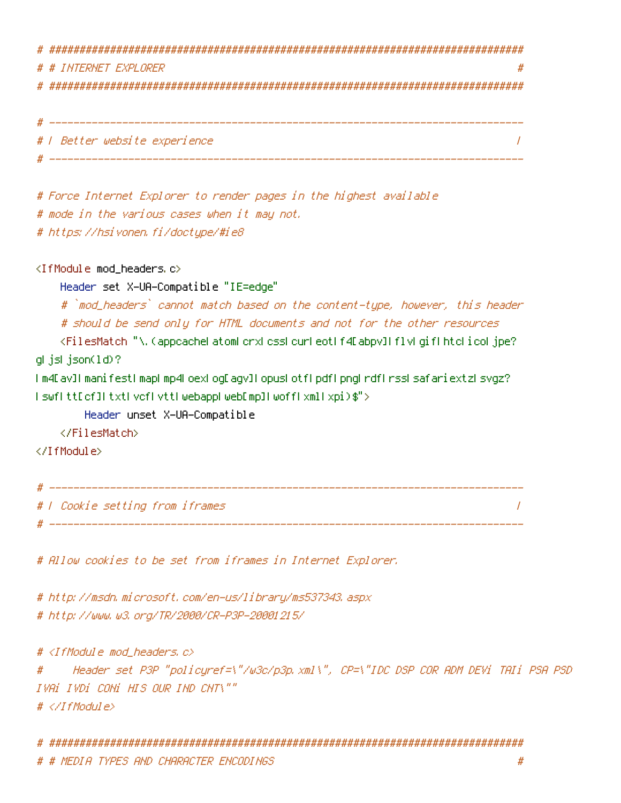# ############################################################################## # # INTERNET EXPLORER # # ############################################################################## # ------------------------------------------------------------------------------ # | Better website experience | # ------------------------------------------------------------------------------

# Force Internet Explorer to render pages in the highest available # mode in the various cases when it may not. # https://hsivonen.fi/doctype/#ie8

<IfModule mod\_headers.c>

Header set X-UA-Compatible "IE=edge"

# `mod\_headers` cannot match based on the content-type, however, this header # should be send only for HTML documents and not for the other resources

<FilesMatch "\.(appcache|atom|crx|css|cur|eot|f4[abpv]|flv|gif|htc|ico|jpe? g|js|json(ld)?

|m4[av]|manifest|map|mp4|oex|og[agv]|opus|otf|pdf|png|rdf|rss|safariextz|svgz? |swf|tt[cf]|txt|vcf|vtt|webapp|web[mp]|woff|xml|xpi)\$">

Header unset X-UA-Compatible

</FilesMatch>

</IfModule>

# ------------------------------------------------------------------------------ # | Cookie setting from iframes |

# Allow cookies to be set from iframes in Internet Explorer.

# http://msdn.microsoft.com/en-us/library/ms537343.aspx # http://www.w3.org/TR/2000/CR-P3P-20001215/

# <IfModule mod\_headers.c>

# Header set P3P "policyref=\"/w3c/p3p.xml\", CP=\"IDC DSP COR ADM DEVi TAIi PSA PSD IVAi IVDi CONi HIS OUR IND CNT\"" # </IfModule>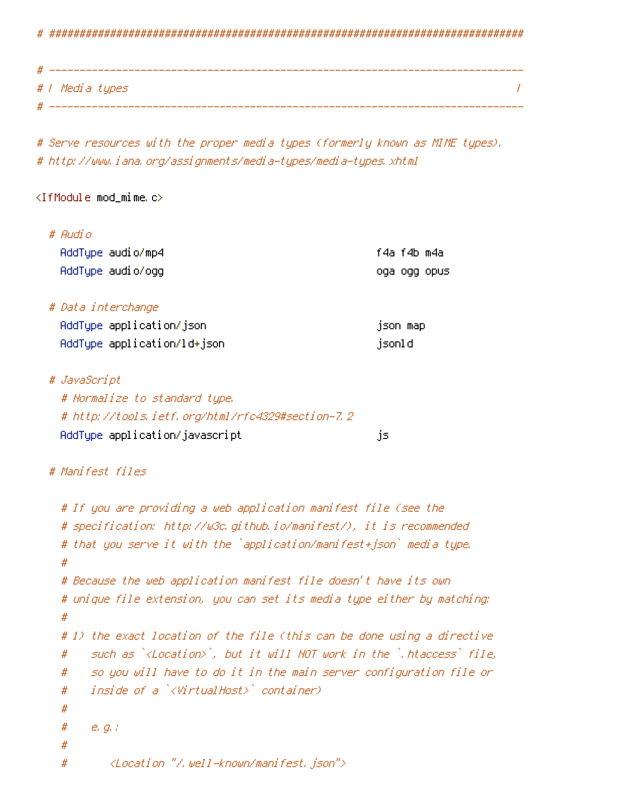# ##############################################################################

| # |                 |  |
|---|-----------------|--|
|   | # / Media types |  |
|   |                 |  |

# Serve resources with the proper media types (formerly known as MIME types). # http://www.iana.org/assignments/media-types/media-types.xhtml

### $\triangleleft$ IfModule mod mime.c $\triangleright$

| # Audio                 |             |              |
|-------------------------|-------------|--------------|
| AddType audio/mp4       | f4a f4b m4a |              |
| - AddType - audi o/ ogg |             | oqa oqq opus |

# Data interchange

| AddType application/json    | json map |  |
|-----------------------------|----------|--|
| AddTupe application/ld+json | isonld   |  |

# JavaScript

| # Normalize to standard type.                    |     |
|--------------------------------------------------|-----|
| # http://tools.ietf.org/html/rfc4329#section-7.2 |     |
| AddTupe application/javascript                   | js. |

# Manifest files

```
# If you are providing a web application manifest file (see the
# specification: http://w3c.github.io/manifest/), it is recommended
# that you serve it with the `application/manifest+json` media type.
#
# Because the web application manifest file doesn't have its own
# unique file extension, you can set its media type either by matching:
#
# 1) the exact location of the file (this can be done using a directive
# such as `<Location>`, but it will NOT work in the `.htaccess` file,
# so you will have to do it in the main server configuration file or
# inside of a `<VirtualHost>` container)
#
# e.g.:
#
# <Location "/.well-known/manifest.json">
```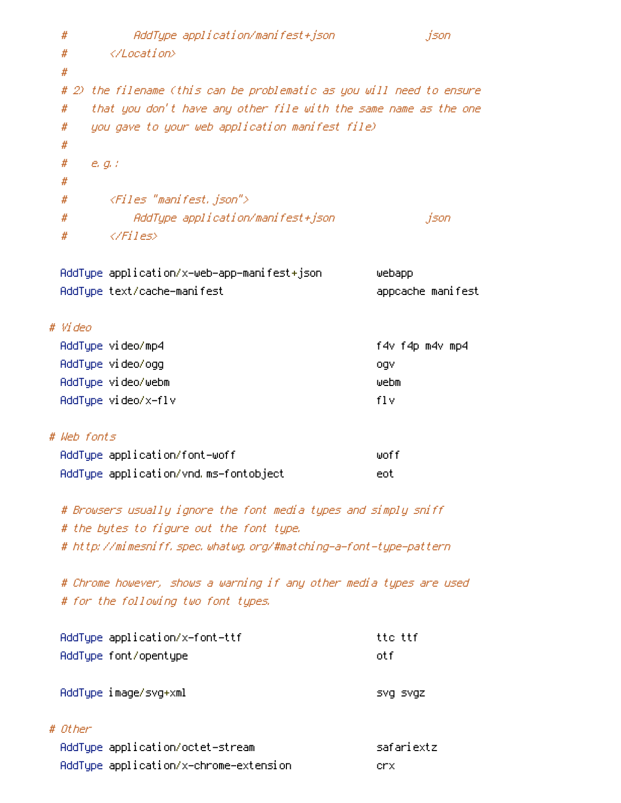```
# AddType application/manifest+json json
 # </Location>
 #
 # 2) the filename (this can be problematic as you will need to ensure
 # that you don't have any other file with the same name as the one
 # you gave to your web application manifest file)
 #
 # e.g.:
 #
 # <Files "manifest.json">
 # AddType application/manifest+json json
 # \langle/Files\rangleAddType application/x-web-app-manifest+json webapp
 AddType text/cache-manifest appcache manifest
# Video
 AddType video/mp4 f4v f4p m4v mp4
 AddType video/ogg ogv
 AddType video/webm webm
 AddType video/x-flv flv
# Web fonts
 AddType application/font-woff woff
 AddType application/vnd.ms-fontobject eot
 # Browsers usually ignore the font media types and simply sniff
 # the bytes to figure out the font type.
 # http://mimesniff.spec.whatwg.org/#matching-a-font-type-pattern
 # Chrome however, shows a warning if any other media types are used
 # for the following two font types.
 AddType application/x-font-ttf ttc ttf
 AddType font/opentype otf
```
AddType image/svg+xml svg svgz svgz

#### # Other

| AddType application/octet-stream       | safariextz |
|----------------------------------------|------------|
| AddType application/x-chrome-extension | lenx.      |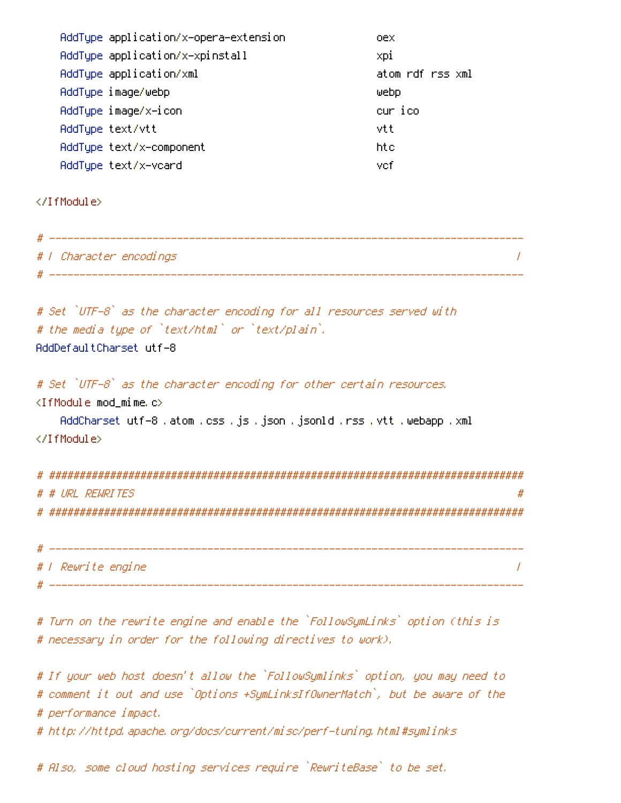| AddType application/x-opera-extension | oex.             |
|---------------------------------------|------------------|
| AddTupe application/x-xpinstall       | xpi              |
| AddType application/xml               | atom rdf rss xml |
| AddType image/webp                    | webp             |
| AddType image/x-icon                  | cur ico          |
| AddTupe text/vtt                      | vtt              |
| AddType text/x-component              | htc.             |
| AddTupe text/x-vcard                  | vcf              |

</IfModule>

| # - |                         |  |
|-----|-------------------------|--|
|     | #   Character encodings |  |
|     |                         |  |

```
# Set `UTF-8` as the character encoding for all resources served with
# the media type of `text/html` or `text/plain`.
AddDefaultCharset utf-8
```
# Set `UTF-8` as the character encoding for other certain resources. <IfModule mod\_mime.c> AddCharset utf-8 .atom .css .js .json .jsonld .rss .vtt .webapp .xml </IfModule>

# ############################################################################## # # URL REWRITES # # ############################################################################## # ------------------------------------------------------------------------------ # | Rewrite engine | # ------------------------------------------------------------------------------

# Turn on the rewrite engine and enable the `FollowSymLinks` option (this is # necessary in order for the following directives to work).

# If your web host doesn't allow the `FollowSymlinks` option, you may need to # comment it out and use `Options +SymLinksIfOwnerMatch`, but be aware of the # performance impact.

# http://httpd.apache.org/docs/current/misc/perf-tuning.html#symlinks

# Also, some cloud hosting services require `RewriteBase` to be set.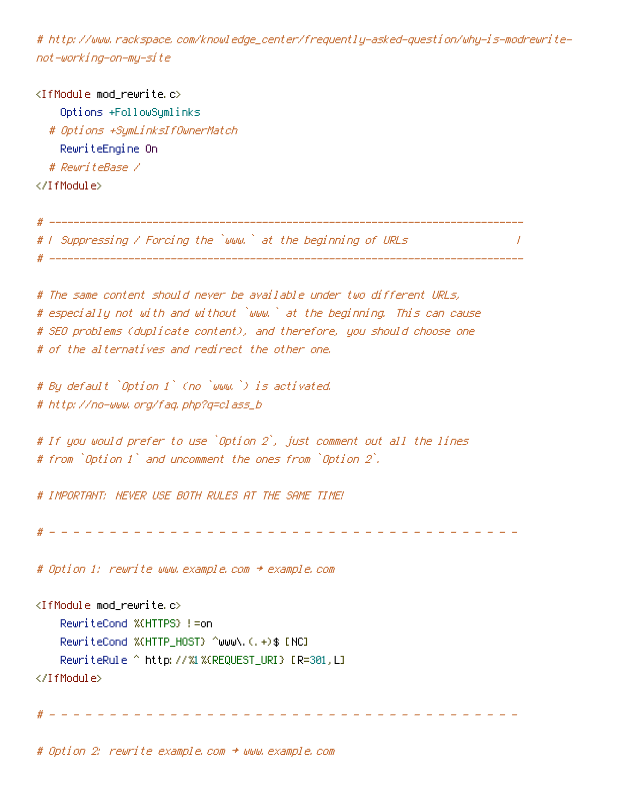# http://www.rackspace.com/knowledge\_center/frequently-asked-question/why-is-modrewritenot-working-on-my-site

<IfModule mod\_rewrite.c> Options +FollowSymlinks # Options +SymLinksIfOwnerMatch RewriteEngine On # RewriteBase / </IfModule>

# <sup>|</sup> Suppressing / Forcing the `www.` at the beginning of URLs <sup>|</sup>

# ------------------------------------------------------------------------------

# ------------------------------------------------------------------------------

# The same content should never be available under two different URLs, # especially not with and without `www.` at the beginning. This can cause # SEO problems (duplicate content), and therefore, you should choose one # of the alternatives and redirect the other one.

# By default `Option <sup>1</sup>` (no `www.`) is activated. # http://no-www.org/faq.php?q=class\_b

# If you would prefer to use `Option <sup>2</sup>`, just comment out all the lines # from `Option <sup>1</sup>` and uncomment the ones from `Option <sup>2</sup>`.

# IMPORTANT: NEVER USE BOTH RULES AT THE SAME TIME!

# - - - - - - - - - - - - - - - - - - - - - - - - - - - - - - - - - - - - - - -

# Option 1: rewrite www.example.com <sup>→</sup> example.com

<IfModule mod\_rewrite.c>

RewriteCond %{HTTPS} !=on

RewriteCond %{HTTP\_HOST} ^www\.(.+)\$ [NC]

RewriteRule ^ http://%1%{REQUEST\_URI} [R=301,L]

</IfModule>

# - - - - - - - - - - - - - - - - - - - - - - - - - - - - - - - - - - - - - - -

# Option 2: rewrite example.com <sup>→</sup> www.example.com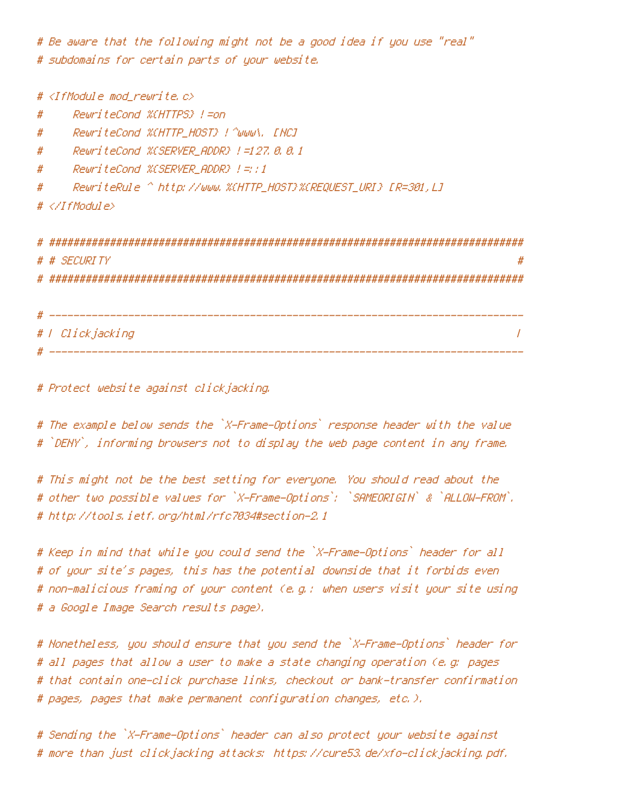# Be aware that the following might not be <sup>a</sup> good idea if you use "real" # subdomains for certain parts of your website.

# <IfModule mod\_rewrite.c> # RewriteCond %{HTTPS} !=on # RewriteCond %{HTTP\_HOST} !^www\. [NC] # RewriteCond %{SERVER\_ADDR} !=127.0.0.1 # RewriteCond %{SERVER\_ADDR} !=::1 # RewriteRule ^ http://www.%{HTTP\_HOST}%{REQUEST\_URI} [R=301,L] # </IfModule> # ############################################################################## # # SECURITY # # ############################################################################## # ------------------------------------------------------------------------------ # | Clickjacking | # ------------------------------------------------------------------------------

# Protect website against clickjacking.

# The example below sends the `X-Frame-Options` response header with the value # `DENY`, informing browsers not to display the web page content in any frame.

# This might not be the best setting for everyone. You should read about the # other two possible values for `X-Frame-Options`: `SAMEORIGIN` & `ALLOW-FROM`. # http://tools.ietf.org/html/rfc7034#section-2.1

# Keep in mind that while you could send the `X-Frame-Options` header for all # of your site's pages, this has the potential downside that it forbids even # non-malicious framing of your content (e.g.: when users visit your site using # <sup>a</sup> Google Image Search results page).

# Nonetheless, you should ensure that you send the `X-Frame-Options` header for # all pages that allow <sup>a</sup> user to make <sup>a</sup> state changing operation (e.g: pages # that contain one-click purchase links, checkout or bank-transfer confirmation # pages, pages that make permanent configuration changes, etc.).

# Sending the `X-Frame-Options` header can also protect your website against # more than just clickjacking attacks: https://cure53.de/xfo-clickjacking.pdf.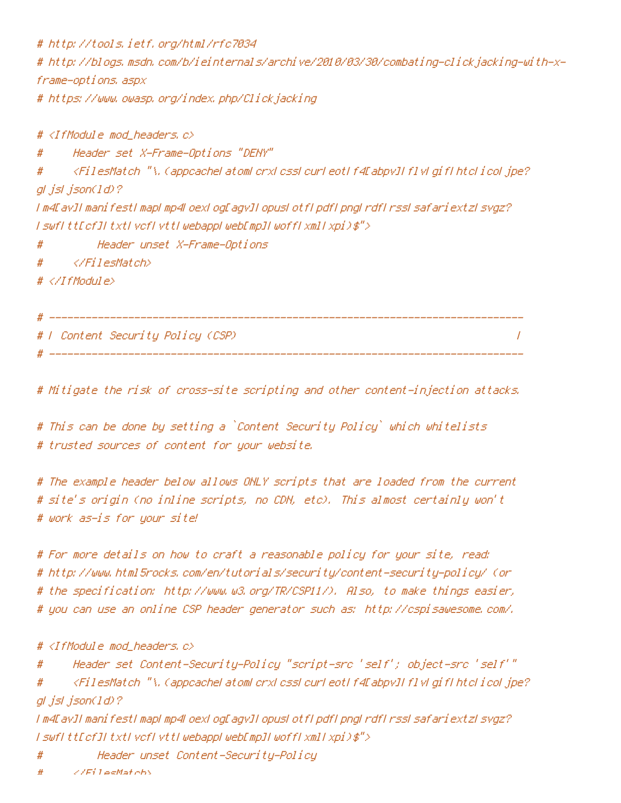# http://tools.ietf.org/html/rfc7034 # http://blogs.msdn.com/b/ieinternals/archive/2010/03/30/combating-clickjacking-with-xframe-options.aspx # https://www.owasp.org/index.php/Clickjacking

# <IfModule mod\_headers.c> # Header set X-Frame-Options "DENY" # <FilesMatch "\.(appcache|atom|crx|css|cur|eot|f4[abpv]|flv|gif|htc|ico|jpe? gl jsl json(ld)? |m4[av]|manifest|map|mp4|oex|og[agv]|opus|otf|pdf|png|rdf|rss|safariextz|svgz? | swf|tt[cf]|txt|vcf|vtt|webapp|web[mp]|woff|xml|xpi)\$"> # Header unset X-Frame-Options # </FilesMatch> # </IfModule> # ------------------------------------------------------------------------------

# | Content Security Policy (CSP) |

# Mitigate the risk of cross-site scripting and other content-injection attacks.

# ------------------------------------------------------------------------------

# This can be done by setting <sup>a</sup> `Content Security Policy` which whitelists # trusted sources of content for your website.

# The example header below allows ONLY scripts that are loaded from the current # site's origin (no inline scripts, no CDN, etc). This almost certainly won't # work as-is for your site!

# For more details on how to craft <sup>a</sup> reasonable policy for your site, read: # http://www.html5rocks.com/en/tutorials/security/content-security-policy/ (or # the specification: http://www.w3.org/TR/CSP11/). Also, to make things easier, # you can use an online CSP header generator such as: http://cspisawesome.com/.

# <IfModule mod\_headers.c>

# Header set Content-Security-Policy "script-src 'self'; object-src 'self'"

# <FilesMatch "\.(appcache|atom|crx|css|cur|eot|f4[abpv]|flv|gif|htc|ico|jpe? gl jsl json(ld)?

|m4[av]|manifest|map|mp4|oex|og[agv]|opus|otf|pdf|png|rdf|rss|safariextz|svgz? | swf|tt[cf]|txt|vcf|vtt|webapp|web[mp]|woff|xml|xpi)\$">

# Header unset Content-Security-Policy

 $\angle$ /FilesMatch>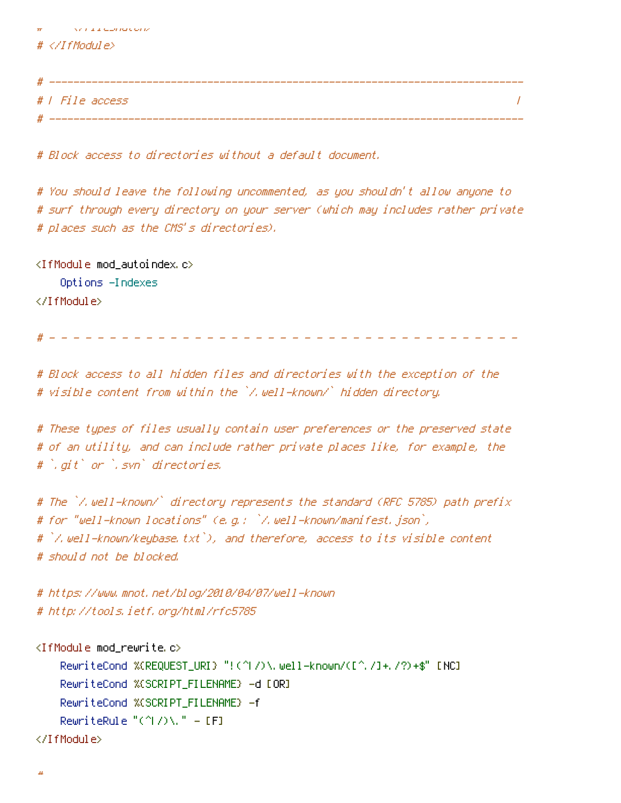| $\#$            |  |
|-----------------|--|
|                 |  |
|                 |  |
| # / File access |  |
|                 |  |

# Block access to directories without <sup>a</sup> default document.

# You should leave the following uncommented, as you shouldn't allow anyone to # surf through every directory on your server (which may includes rather private # places such as the CMS's directories).

<IfModule mod\_autoindex.c> Options -Indexes </IfModule>

w ruu conduun

# - - - - - - - - - - - - - - - - - - - - - - - - - - - - - - - - - - - - - - -

# Block access to all hidden files and directories with the exception of the # visible content from within the `/.well-known/` hidden directory.

# These types of files usually contain user preferences or the preserved state # of an utility, and can include rather private places like, for example, the # `.git` or `.svn` directories.

# The `/.well-known/` directory represents the standard (RFC 5785) path prefix # for "well-known locations" (e.g.: `/.well-known/manifest.json`, # `/.well-known/keybase.txt`), and therefore, access to its visible content # should not be blocked.

# https://www.mnot.net/blog/2010/04/07/well-known # http://tools.ietf.org/html/rfc5785

```
<IfModule mod_rewrite.c>
    RewriteCond %{REQUEST_URI} "!(^|/)\.well-known/([^./]+./?)+$" [NC]
    RewriteCond %{SCRIPT_FILENAME} -d [OR]
    RewriteCond %{SCRIPT_FILENAME} -f
    RewriteRule "(^{\circ}|/)\." - [F]
</IfModule>
```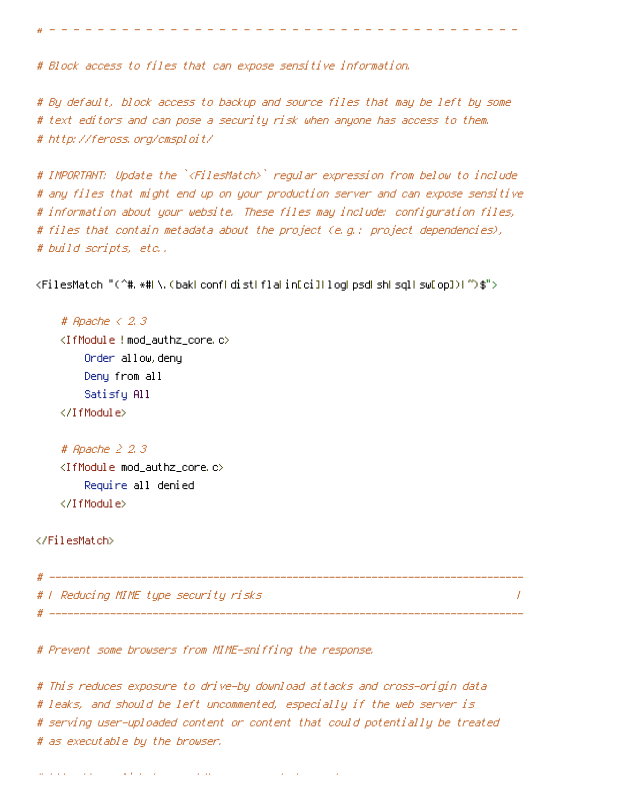# Block access to files that can expose sensitive information.

# By default, block access to backup and source files that may be left by some # text editors and can pose <sup>a</sup> security risk when anyone has access to them. # http://feross.org/cmsploit/

# - - - - - - - - - - - - - - - - - - - - - - - - - - - - - - - - - - - - - - -

# IMPORTANT: Update the `<FilesMatch>` regular expression from below to include # any files that might end up on your production server and can expose sensitive # information about your website. These files may include: configuration files, # files that contain metadata about the project (e.g.: project dependencies), # build scripts, etc..

<FilesMatch "(^#.\*#|\.(bak|conf|dist|fla|in[ci]|log|psd|sh|sql|sw[op])|~)\$">

# Apache < 2.3 <IfModule !mod\_authz\_core.c> Order allow,deny Deny from all Satisfy All </IfModule>

```
# Apache ≥ 2.3
<IfModule mod_authz_core.c>
    Require all denied
</IfModule>
```
### </FilesMatch>

| # |                                       |  |
|---|---------------------------------------|--|
|   | #   Reducing MIME type security risks |  |
|   |                                       |  |

# Prevent some browsers from MIME-sniffing the response.

# This reduces exposure to drive-by download attacks and cross-origin data # leaks, and should be left uncommented, especially if the web server is # serving user-uploaded content or content that could potentially be treated # as executable by the browser.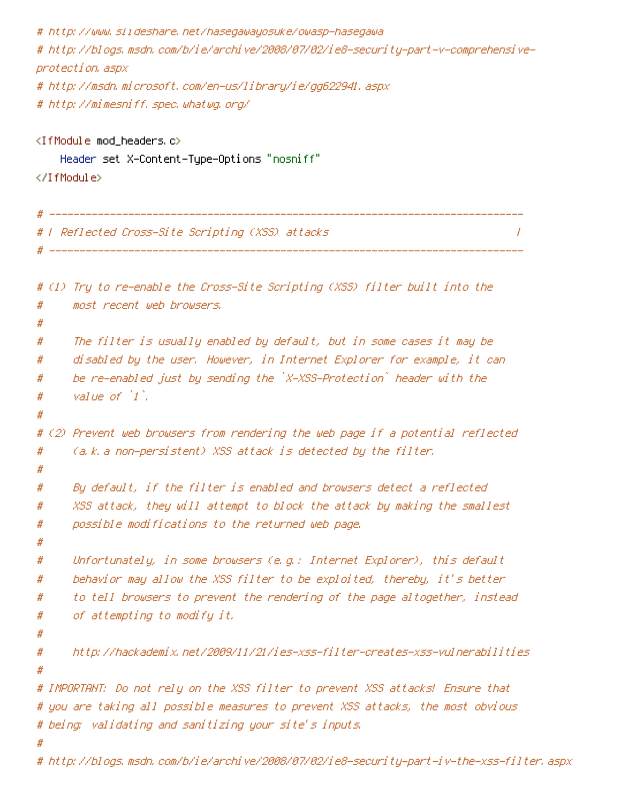```
# http://www.slideshare.net/hasegawayosuke/owasp-hasegawa
# http://blogs.msdn.com/b/ie/archive/2008/07/02/ie8-security-part-v-comprehensive-
protection.aspx
# http://msdn.microsoft.com/en-us/library/ie/gg622941.aspx
# http://mimesniff.spec.whatwg.org/
<IfModule mod_headers.c>
    Header set X-Content-Type-Options "nosniff"
</IfModule>
# ------------------------------------------------------------------------------
# | Reflected Cross-Site Scripting (XSS) attacks |
# -----------------
# (1) Try to re-enable the Cross-Site Scripting (XSS) filter built into the
# most recent web browsers.
#
# The filter is usually enabled by default, but in some cases it may be
# disabled by the user. However, in Internet Explorer for example, it can
# be re-enabled just by sending the `X-XSS-Protection` header with the
# value of `1`.
#
# (2) Prevent web browsers from rendering the web page if a potential reflected
# (a.k.a non-persistent) XSS attack is detected by the filter.
#
# By default, if the filter is enabled and browsers detect a reflected
# XSS attack, they will attempt to block the attack by making the smallest
# possible modifications to the returned web page.
#
# Unfortunately, in some browsers (e.g.: Internet Explorer), this default
# behavior may allow the XSS filter to be exploited, thereby, it's better
# to tell browsers to prevent the rendering of the page altogether, instead
# of attempting to modify it.
#
# http://hackademix.net/2009/11/21/ies-xss-filter-creates-xss-vulnerabilities
#
# IMPORTANT: Do not rely on the XSS filter to prevent XSS attacks! Ensure that
# you are taking all possible measures to prevent XSS attacks, the most obvious
# being: validating and sanitizing your site's inputs.
#
```
# http://blogs.msdn.com/b/ie/archive/2008/07/02/ie8-security-part-iv-the-xss-filter.aspx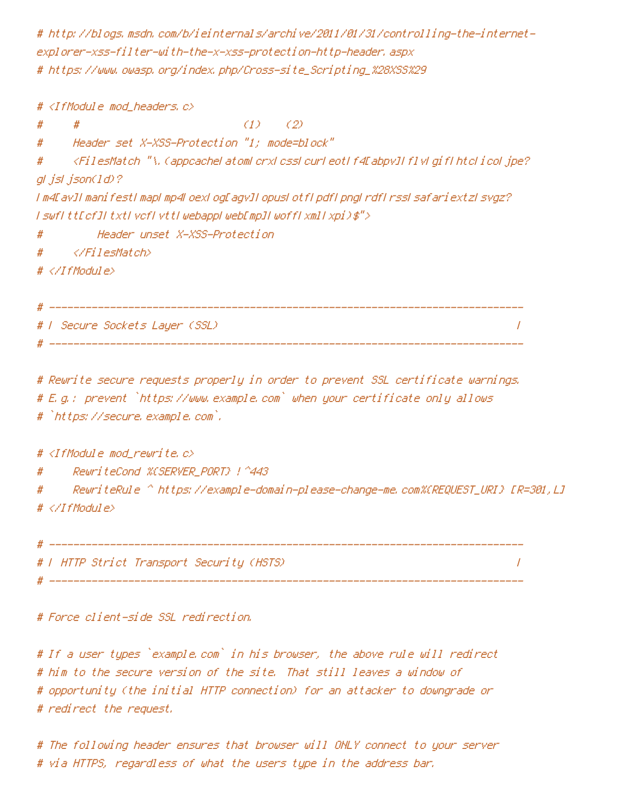# http://blogs.msdn.com/b/ieinternals/archive/2011/01/31/controlling-the-internetexplorer-xss-filter-with-the-x-xss-protection-http-header.aspx # https://www.owasp.org/index.php/Cross-site\_Scripting\_%28XSS%29

# <IfModule mod\_headers.c>  $\#$   $\#$  (1) (2) # Header set X-XSS-Protection "1; mode=block" # <FilesMatch "\.(appcache|atom|crx|css|cur|eot|f4[abpv]|flv|gif|htc|ico|jpe? g|js|json(ld)? |m4[av]|manifest|map|mp4|oex|og[agv]|opus|otf|pdf|png|rdf|rss|safariextz|svgz? |swf|tt[cf]|txt|vcf|vtt|webapp|web[mp]|woff|xml|xpi)\$"> # Header unset X-XSS-Protection # </FilesMatch>  $# \triangle$ /IfModule> # ------------------------------------------------------------------------------ # | Secure Sockets Layer (SSL) | # ------------------------------------------------------------------------------ # Rewrite secure requests properly in order to prevent SSL certificate warnings. # E.g.: prevent `https://www.example.com` when your certificate only allows # `https://secure.example.com`.

#  $\triangleleft$ IfModule mod rewrite.c $>$ 

# RewriteCond %{SERVER\_PORT} !^443

# RewriteRule ^ https://example-domain-please-change-me.com%{REQUEST\_URI} [R=301,L] # </IfModule>

# ------------------------------------------------------------------------------ # | HTTP Strict Transport Security (HSTS) | # ------------------------------------------------------------------------------

# Force client-side SSL redirection.

# If <sup>a</sup> user types `example.com` in his browser, the above rule will redirect # him to the secure version of the site. That still leaves <sup>a</sup> window of # opportunity (the initial HTTP connection) for an attacker to downgrade or # redirect the request.

# The following header ensures that browser will ONLY connect to your server # via HTTPS, regardless of what the users type in the address bar.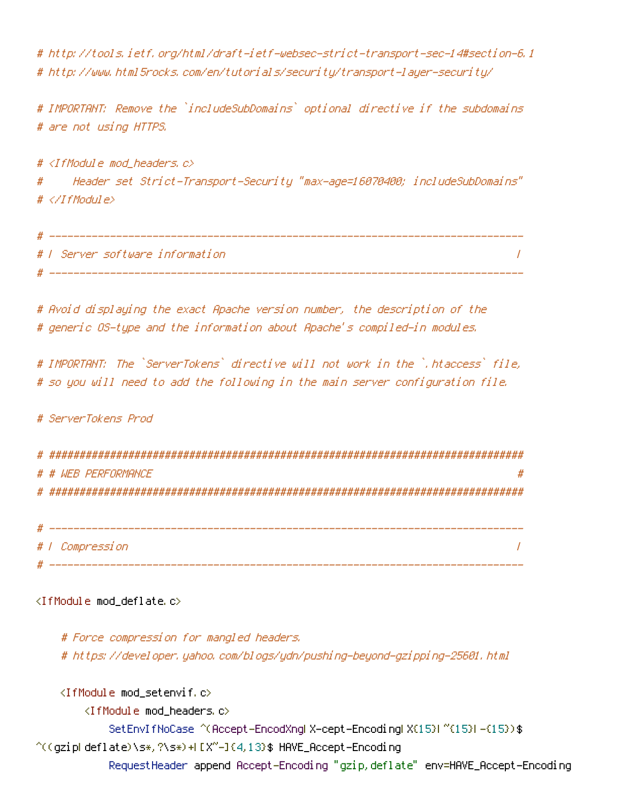# http://tools.ietf.org/html/draft-ietf-websec-strict-transport-sec-14#section-6.1 # http://www.html5rocks.com/en/tutorials/security/transport-layer-security/

# IMPORTANT: Remove the `includeSubDomains` optional directive if the subdomains # are not using HTTPS.

#  $\triangleleft$ IfModule mod headers, c $\triangleright$ # Header set Strict-Transport-Security "max-age=16070400; includeSubDomains" # </IfModule>

| # |                                 |  |
|---|---------------------------------|--|
|   | # 1 Server software information |  |
| # |                                 |  |

# Avoid displaying the exact Apache version number, the description of the # generic OS-type and the information about Apache's compiled-in modules.

# IMPORTANT: The `ServerTokens` directive will not work in the `.htaccess` file, # so you will need to add the following in the main server configuration file.

# ServerTokens Prod

| # # WFR PFRFNRMANCF<br># |
|--------------------------|
|                          |
|                          |

| # |                 |
|---|-----------------|
|   | #   Compression |
| # |                 |

## <IfModule mod\_deflate.c>

# Force compression for mangled headers. # https://developer.yahoo.com/blogs/ydn/pushing-beyond-gzipping-25601.html

```
<IfModule mod_setenvif.c>
        <IfModule mod_headers.c>
            SetEnvIfNoCase ^(Accept-EncodXng|X-cept-Encoding|X{15}|~{15}|-{15})$
\hat{C}((gzipHdeflate)\s*,?\s*)+H[X~-]{4,13}$ HAVE_Accept-Encoding
            RequestHeader append Accept-Encoding "gzip,deflate" env=HAVE_Accept-Encoding
```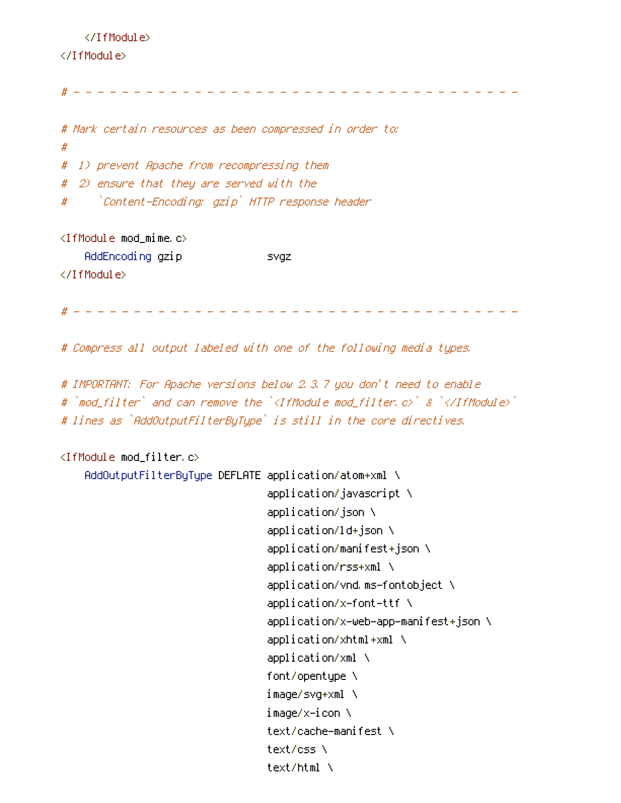#### </IfModule>

#### </IfModule>

# - - - - - - - - - - - - - - - - - - - - - - - - - - - - - - - - - - - - - # Mark certain resources as been compressed in order to: # # 1) prevent Apache from recompressing them # 2) ensure that they are served with the # `Content-Encoding: gzip` HTTP response header <IfModule mod\_mime.c> AddEncoding gzip svgz </IfModule> # - - - - - - - - - - - - - - - - - - - - - - - - - - - - - - - - - - - - - # Compress all output labeled with one of the following media types.

# IMPORTANT: For Apache versions below 2.3.7 you don't need to enable # `mod\_filter` and can remove the `<IfModule mod\_filter.c>` & `</IfModule>` # lines as `AddOutputFilterByType` is still in the core directives.

# <IfModule mod\_filter.c>

AddOutputFilterByType DEFLATE application/atom+xml \ application/javascript \ application/json \ application/ld+json \ application/manifest+json \ application/rss+xml \ application/vnd.ms-fontobject \ application/x-font-ttf \ application/x-web-app-manifest+json \ application/xhtml+xml \ application/xml \ font/opentype \ image/svg+xml \ image/x-icon \ text/cache-manifest \ text/css \ text/html \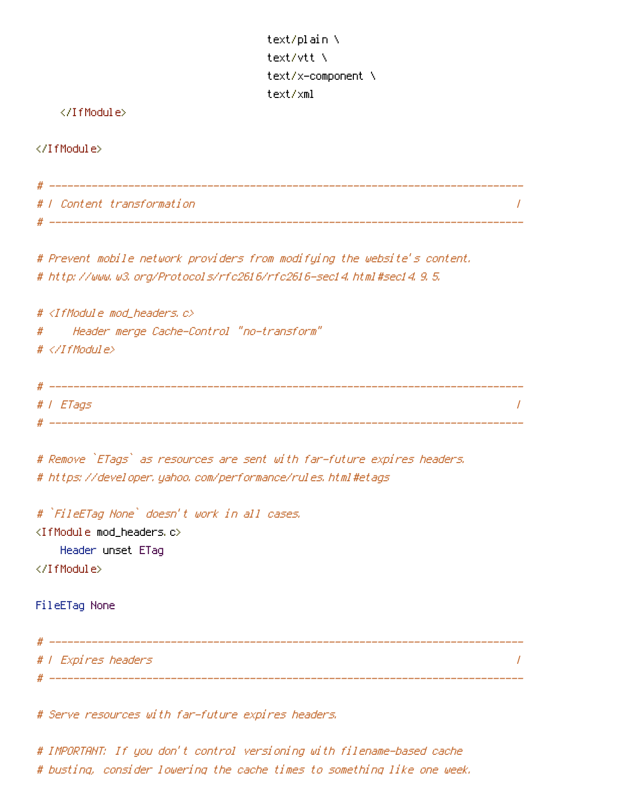text/plain \ text/vtt \ text/x-component \ text/xml

## </IfModule>

</IfModule>

| # / Content transformation                                                                                                                                      |          |
|-----------------------------------------------------------------------------------------------------------------------------------------------------------------|----------|
| # Prevent mobile network providers from modifying the website's content.<br># http://www.w3.org/Protocols/rfc2616/rfc2616-sec14.html#sec14.9.5.                 |          |
| # <ifmodule c="" mod_headers,=""><br/>Header merge Cache-Control "no-transform"<br/>#<br/><math># \langle \angle If</math>Module<math>\rangle</math></ifmodule> |          |
| #   ETags                                                                                                                                                       | $\prime$ |
| # Remove `ETags` as resources are sent with far-future expires headers.<br># https://developer.yahoo.com/performance/rules.html#etags                           |          |
| # `FileETag None` doesn't work in all cases.<br><ifmodule mod_headers.c=""><br/>Header unset ETag<br/></ifmodule>                                               |          |
| FileETag None                                                                                                                                                   |          |

# ------------------------------------------------------------------------------ # | Expires headers | # ------------------------------------------------------------------------------

# Serve resources with far-future expires headers.

# IMPORTANT: If you don't control versioning with filename-based cache # busting, consider lowering the cache times to something like one week.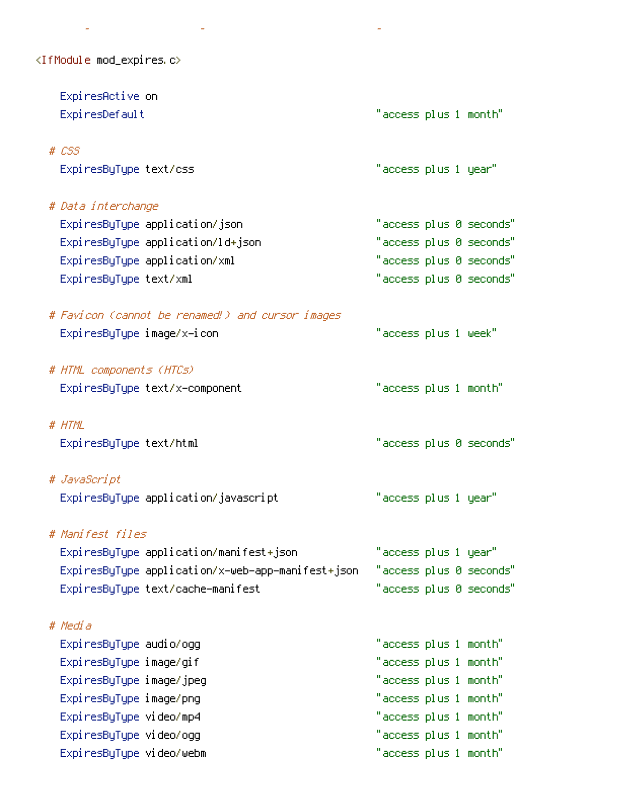<IfModule mod\_expires.c>

| ExpiresActive on                                  |                       |  |                         |
|---------------------------------------------------|-----------------------|--|-------------------------|
| ExpiresDefault                                    | "access plus 1 month" |  |                         |
| $# \text{ } \mathcal{L}SS$                        |                       |  |                         |
| ExpiresByType text/css                            | "access plus 1 year"  |  |                         |
| # Data interchange                                |                       |  |                         |
| ExpiresByType application/json                    |                       |  | "access plus 0 seconds" |
| ExpiresByType application/ld+json                 |                       |  | "access plus 0 seconds" |
| ExpiresByType application/xml                     |                       |  | "access plus 0 seconds" |
| ExpiresByType text/xml                            |                       |  | "access plus 0 seconds" |
| # Favicon (cannot be renamed!) and cursor images  |                       |  |                         |
| ExpiresByType image/x-icon                        | "access plus 1 week"  |  |                         |
| # HTML components (HTCs)                          |                       |  |                         |
| ExpiresByType text/x-component                    | "access plus 1 month" |  |                         |
| # HTML                                            |                       |  |                         |
| ExpiresByType text/html                           |                       |  | "access plus 0 seconds" |
| # JavaScript                                      |                       |  |                         |
| ExpiresByType application/javascript              | "access plus 1 year"  |  |                         |
| # Manifest files                                  |                       |  |                         |
| ExpiresByType application/manifest+json           | "access plus 1 year"  |  |                         |
| ExpiresByType application/x-web-app-manifest+json |                       |  | "access plus 0 seconds" |
| ExpiresByType text/cache-manifest                 |                       |  | "access plus 0 seconds" |
| # Media                                           |                       |  |                         |
| Expi resByType audio/ogg                          | "access plus 1 month" |  |                         |
| ExpiresByType image/gif                           | "access plus 1 month" |  |                         |
| ExpiresByType image/jpeg                          | "access plus 1 month" |  |                         |
| ExpiresByType image/png                           | "access plus 1 month" |  |                         |
| ExpiresByType video/mp4                           | "access plus 1 month" |  |                         |
| ExpiresByType video/ogg                           | "access plus 1 month" |  |                         |
| ExpiresByType video/webm                          | "access plus 1 month" |  |                         |

# busting, consider lowering the cache times to something like one week.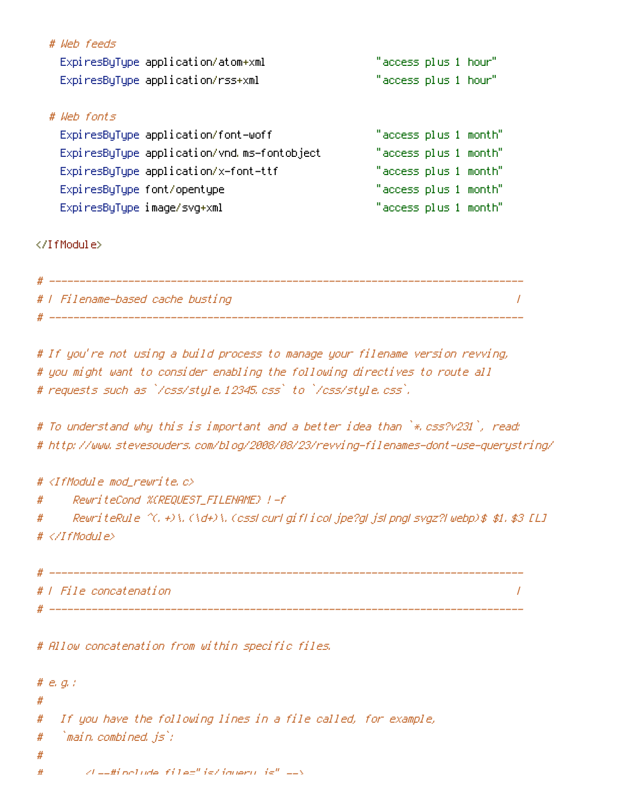| # Weh feeds                 |                                             |                       |  |
|-----------------------------|---------------------------------------------|-----------------------|--|
|                             | ExpiresByType application/atom+xml          | "access plus 1 hour"  |  |
|                             | ExpiresByType application/rss+xml           | "access plus 1 hour"  |  |
|                             |                                             |                       |  |
| # Weh fonts                 |                                             |                       |  |
|                             | ExpiresByType application/font-woff         | "access plus 1 month" |  |
|                             | ExpiresByType application/vnd.ms-fontobject | "access plus 1 month" |  |
|                             | ExpiresByType application/x-font-ttf        | "access plus 1 month" |  |
|                             | ExpiresByType font/opentype                 | "access plus 1 month" |  |
| ExpiresByType image/svg+xml |                                             | "access plus 1 month" |  |
|                             |                                             |                       |  |

</IfModule>

| # |                                  |  |
|---|----------------------------------|--|
|   | #   Filename-based cache busting |  |
|   |                                  |  |

# If you're not using <sup>a</sup> build process to manage your filename version revving, # you might want to consider enabling the following directives to route all # requests such as `/css/style.12345.css` to `/css/style.css`.

# To understand why this is important and <sup>a</sup> better idea than `\*.css?v231`, read: # http://www.stevesouders.com/blog/2008/08/23/revving-filenames-dont-use-querystring/

# # <IfModule mod\_rewrite.c>

# RewriteCond %{REQUEST\_FILENAME} !-f

# RewriteRule ^(.+)\.(\d+)\.(css|cur|gif|ico|jpe?g|js|png|svgz?|webp)\$ \$1.\$3 [L] # </IfModule>

# ------------------------------------------------------------------------------ # | File concatenation | # ------------------------------------------------------------------------------

# Allow concatenation from within specific files.

```
# e.g.:
#
# If you have the following lines in a file called, for example,
# `main.combined.js`:
#
# d = Hinclude file="js/jquery.js" -->
```